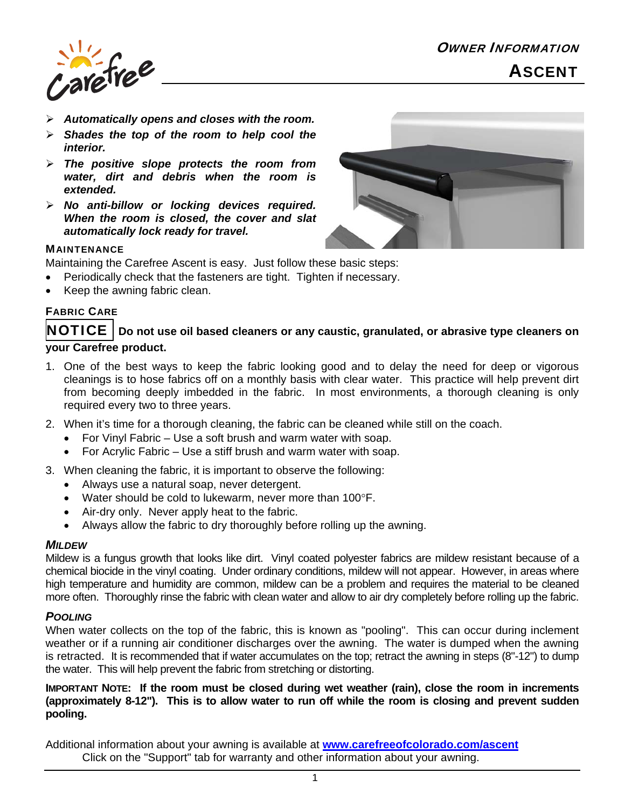

- *Automatically opens and closes with the room.*
- *Shades the top of the room to help cool the interior.*
- *The positive slope protects the room from water, dirt and debris when the room is extended.*
- *No anti-billow or locking devices required. When the room is closed, the cover and slat automatically lock ready for travel.*



### **MAINTENANCE**

Maintaining the Carefree Ascent is easy. Just follow these basic steps:

- Periodically check that the fasteners are tight. Tighten if necessary.
- Keep the awning fabric clean.

# FABRIC CARE

# $\overline{\textbf{NOTICE}} \mid \textbf{Do}$  not use oil based cleaners or any caustic, granulated, or abrasive type cleaners on **your Carefree product.**

- 1. One of the best ways to keep the fabric looking good and to delay the need for deep or vigorous cleanings is to hose fabrics off on a monthly basis with clear water. This practice will help prevent dirt from becoming deeply imbedded in the fabric. In most environments, a thorough cleaning is only required every two to three years.
- 2. When it's time for a thorough cleaning, the fabric can be cleaned while still on the coach.
	- For Vinyl Fabric Use a soft brush and warm water with soap.
	- For Acrylic Fabric Use a stiff brush and warm water with soap.
- 3. When cleaning the fabric, it is important to observe the following:
	- Always use a natural soap, never detergent.
	- Water should be cold to lukewarm, never more than  $100^{\circ}$ F.
	- Air-dry only. Never apply heat to the fabric.
	- Always allow the fabric to dry thoroughly before rolling up the awning.

### *MILDEW*

Mildew is a fungus growth that looks like dirt. Vinyl coated polyester fabrics are mildew resistant because of a chemical biocide in the vinyl coating. Under ordinary conditions, mildew will not appear. However, in areas where high temperature and humidity are common, mildew can be a problem and requires the material to be cleaned more often. Thoroughly rinse the fabric with clean water and allow to air dry completely before rolling up the fabric.

### *POOLING*

When water collects on the top of the fabric, this is known as "pooling". This can occur during inclement weather or if a running air conditioner discharges over the awning. The water is dumped when the awning is retracted. It is recommended that if water accumulates on the top; retract the awning in steps (8"-12") to dump the water. This will help prevent the fabric from stretching or distorting.

## **IMPORTANT NOTE: If the room must be closed during wet weather (rain), close the room in increments (approximately 8-12"). This is to allow water to run off while the room is closing and prevent sudden pooling.**

Additional information about your awning is available at **www.carefreeofcolorado.com/ascent** Click on the "Support" tab for warranty and other information about your awning.